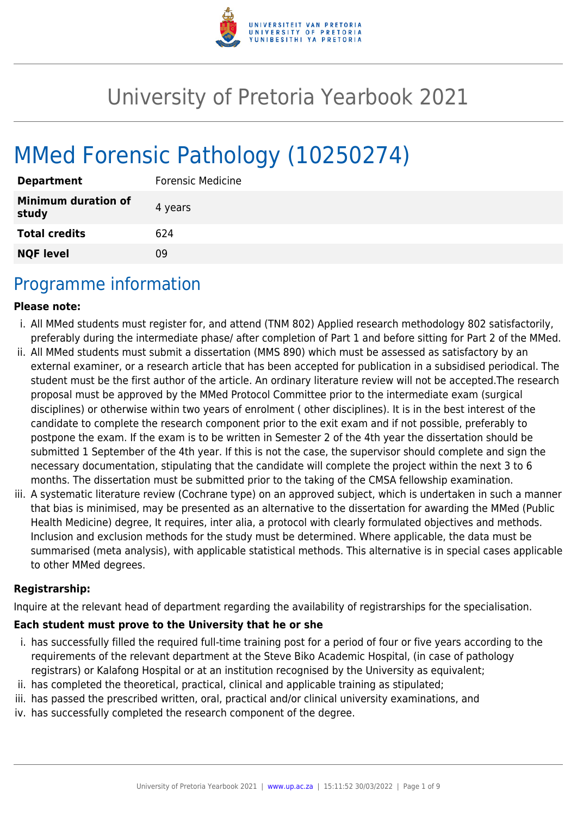

# University of Pretoria Yearbook 2021

# MMed Forensic Pathology (10250274)

| <b>Department</b>                   | Forensic Medicine |
|-------------------------------------|-------------------|
| <b>Minimum duration of</b><br>study | 4 years           |
| <b>Total credits</b>                | 624               |
| <b>NQF level</b>                    | ΩÓ                |

# Programme information

#### **Please note:**

- i. All MMed students must register for, and attend (TNM 802) Applied research methodology 802 satisfactorily, preferably during the intermediate phase/ after completion of Part 1 and before sitting for Part 2 of the MMed.
- ii. All MMed students must submit a dissertation (MMS 890) which must be assessed as satisfactory by an external examiner, or a research article that has been accepted for publication in a subsidised periodical. The student must be the first author of the article. An ordinary literature review will not be accepted.The research proposal must be approved by the MMed Protocol Committee prior to the intermediate exam (surgical disciplines) or otherwise within two years of enrolment ( other disciplines). It is in the best interest of the candidate to complete the research component prior to the exit exam and if not possible, preferably to postpone the exam. If the exam is to be written in Semester 2 of the 4th year the dissertation should be submitted 1 September of the 4th year. If this is not the case, the supervisor should complete and sign the necessary documentation, stipulating that the candidate will complete the project within the next 3 to 6 months. The dissertation must be submitted prior to the taking of the CMSA fellowship examination.
- iii. A systematic literature review (Cochrane type) on an approved subject, which is undertaken in such a manner that bias is minimised, may be presented as an alternative to the dissertation for awarding the MMed (Public Health Medicine) degree, It requires, inter alia, a protocol with clearly formulated objectives and methods. Inclusion and exclusion methods for the study must be determined. Where applicable, the data must be summarised (meta analysis), with applicable statistical methods. This alternative is in special cases applicable to other MMed degrees.

#### **Registrarship:**

Inquire at the relevant head of department regarding the availability of registrarships for the specialisation.

#### **Each student must prove to the University that he or she**

- i. has successfully filled the required full-time training post for a period of four or five years according to the requirements of the relevant department at the Steve Biko Academic Hospital, (in case of pathology registrars) or Kalafong Hospital or at an institution recognised by the University as equivalent;
- ii. has completed the theoretical, practical, clinical and applicable training as stipulated;
- iii. has passed the prescribed written, oral, practical and/or clinical university examinations, and
- iv. has successfully completed the research component of the degree.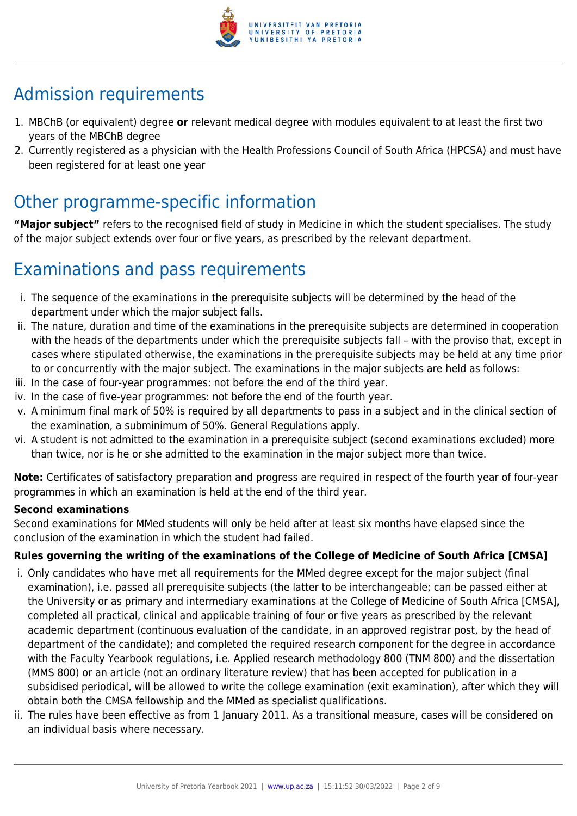

# Admission requirements

- 1. MBChB (or equivalent) degree **or** relevant medical degree with modules equivalent to at least the first two years of the MBChB degree
- 2. Currently registered as a physician with the Health Professions Council of South Africa (HPCSA) and must have been registered for at least one year

# Other programme-specific information

**"Major subject"** refers to the recognised field of study in Medicine in which the student specialises. The study of the major subject extends over four or five years, as prescribed by the relevant department.

# Examinations and pass requirements

- i. The sequence of the examinations in the prerequisite subjects will be determined by the head of the department under which the major subject falls.
- ii. The nature, duration and time of the examinations in the prerequisite subjects are determined in cooperation with the heads of the departments under which the prerequisite subjects fall – with the proviso that, except in cases where stipulated otherwise, the examinations in the prerequisite subjects may be held at any time prior to or concurrently with the major subject. The examinations in the major subjects are held as follows:
- iii. In the case of four-year programmes: not before the end of the third year.
- iv. In the case of five-year programmes: not before the end of the fourth year.
- v. A minimum final mark of 50% is required by all departments to pass in a subject and in the clinical section of the examination, a subminimum of 50%. General Regulations apply.
- vi. A student is not admitted to the examination in a prerequisite subject (second examinations excluded) more than twice, nor is he or she admitted to the examination in the major subject more than twice.

**Note:** Certificates of satisfactory preparation and progress are required in respect of the fourth year of four-year programmes in which an examination is held at the end of the third year.

#### **Second examinations**

Second examinations for MMed students will only be held after at least six months have elapsed since the conclusion of the examination in which the student had failed.

### **Rules governing the writing of the examinations of the College of Medicine of South Africa [CMSA]**

- i. Only candidates who have met all requirements for the MMed degree except for the major subject (final examination), i.e. passed all prerequisite subjects (the latter to be interchangeable; can be passed either at the University or as primary and intermediary examinations at the College of Medicine of South Africa [CMSA], completed all practical, clinical and applicable training of four or five years as prescribed by the relevant academic department (continuous evaluation of the candidate, in an approved registrar post, by the head of department of the candidate); and completed the required research component for the degree in accordance with the Faculty Yearbook regulations, i.e. Applied research methodology 800 (TNM 800) and the dissertation (MMS 800) or an article (not an ordinary literature review) that has been accepted for publication in a subsidised periodical, will be allowed to write the college examination (exit examination), after which they will obtain both the CMSA fellowship and the MMed as specialist qualifications.
- ii. The rules have been effective as from 1 January 2011. As a transitional measure, cases will be considered on an individual basis where necessary.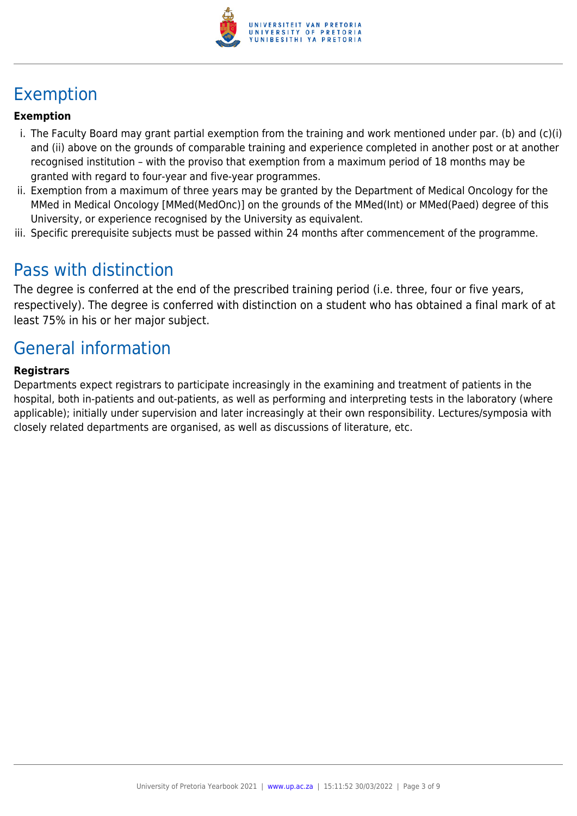

# Exemption

### **Exemption**

- i. The Faculty Board may grant partial exemption from the training and work mentioned under par. (b) and (c)(i) and (ii) above on the grounds of comparable training and experience completed in another post or at another recognised institution – with the proviso that exemption from a maximum period of 18 months may be granted with regard to four-year and five-year programmes.
- ii. Exemption from a maximum of three years may be granted by the Department of Medical Oncology for the MMed in Medical Oncology [MMed(MedOnc)] on the grounds of the MMed(Int) or MMed(Paed) degree of this University, or experience recognised by the University as equivalent.
- iii. Specific prerequisite subjects must be passed within 24 months after commencement of the programme.

# Pass with distinction

The degree is conferred at the end of the prescribed training period (i.e. three, four or five years, respectively). The degree is conferred with distinction on a student who has obtained a final mark of at least 75% in his or her major subject.

# General information

#### **Registrars**

Departments expect registrars to participate increasingly in the examining and treatment of patients in the hospital, both in-patients and out-patients, as well as performing and interpreting tests in the laboratory (where applicable); initially under supervision and later increasingly at their own responsibility. Lectures/symposia with closely related departments are organised, as well as discussions of literature, etc.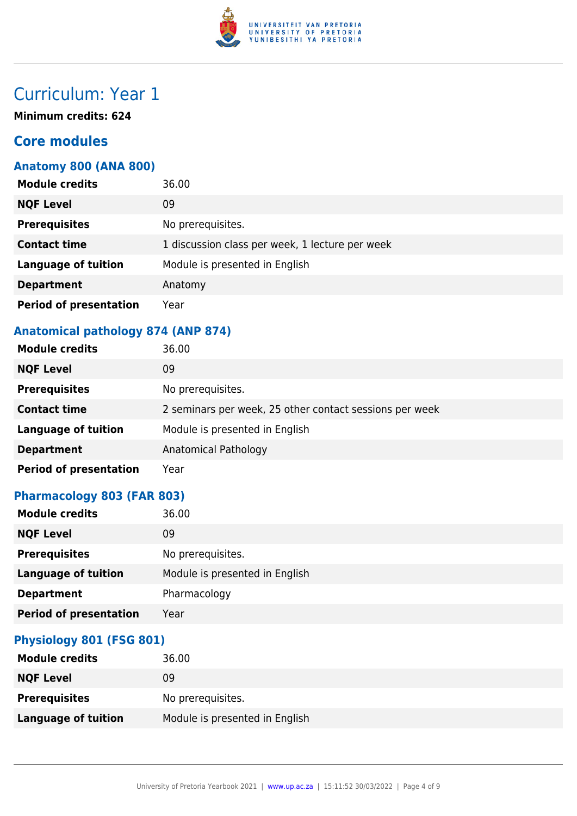

# Curriculum: Year 1

**Minimum credits: 624**

# **Core modules**

### **Anatomy 800 (ANA 800)**

| <b>Module credits</b>         | 36.00                                           |
|-------------------------------|-------------------------------------------------|
| <b>NQF Level</b>              | 09                                              |
| <b>Prerequisites</b>          | No prerequisites.                               |
| <b>Contact time</b>           | 1 discussion class per week, 1 lecture per week |
| <b>Language of tuition</b>    | Module is presented in English                  |
| <b>Department</b>             | Anatomy                                         |
| <b>Period of presentation</b> | Year                                            |

## **Anatomical pathology 874 (ANP 874)**

| <b>Module credits</b>         | 36.00                                                   |
|-------------------------------|---------------------------------------------------------|
| <b>NQF Level</b>              | 09                                                      |
| <b>Prerequisites</b>          | No prerequisites.                                       |
| <b>Contact time</b>           | 2 seminars per week, 25 other contact sessions per week |
| <b>Language of tuition</b>    | Module is presented in English                          |
| <b>Department</b>             | Anatomical Pathology                                    |
| <b>Period of presentation</b> | Year                                                    |

## **Pharmacology 803 (FAR 803)**

| <b>Module credits</b>         | 36.00                          |
|-------------------------------|--------------------------------|
| <b>NQF Level</b>              | 09                             |
| <b>Prerequisites</b>          | No prerequisites.              |
| <b>Language of tuition</b>    | Module is presented in English |
| <b>Department</b>             | Pharmacology                   |
| <b>Period of presentation</b> | Year                           |

#### **Physiology 801 (FSG 801)**

| <b>Module credits</b> | 36.00                          |
|-----------------------|--------------------------------|
| <b>NQF Level</b>      | 09                             |
| <b>Prerequisites</b>  | No prerequisites.              |
| Language of tuition   | Module is presented in English |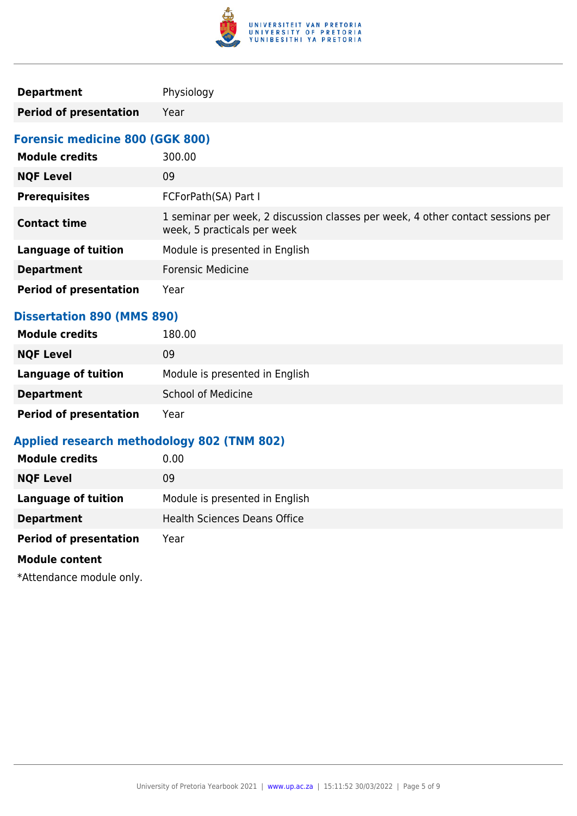

| <b>Department</b> | Physiology |
|-------------------|------------|
|                   |            |

**Period of presentation** Year

### **Forensic medicine 800 (GGK 800)**

| <b>Module credits</b>         | 300.00                                                                                                         |
|-------------------------------|----------------------------------------------------------------------------------------------------------------|
| <b>NQF Level</b>              | 09                                                                                                             |
| <b>Prerequisites</b>          | FCForPath(SA) Part I                                                                                           |
| <b>Contact time</b>           | 1 seminar per week, 2 discussion classes per week, 4 other contact sessions per<br>week, 5 practicals per week |
| <b>Language of tuition</b>    | Module is presented in English                                                                                 |
| <b>Department</b>             | <b>Forensic Medicine</b>                                                                                       |
| <b>Period of presentation</b> | Year                                                                                                           |

### **Dissertation 890 (MMS 890)**

| <b>Module credits</b>         | 180.00                         |
|-------------------------------|--------------------------------|
| <b>NQF Level</b>              | 09                             |
| <b>Language of tuition</b>    | Module is presented in English |
| <b>Department</b>             | <b>School of Medicine</b>      |
| <b>Period of presentation</b> | Year                           |

### **Applied research methodology 802 (TNM 802)**

| <b>Module credits</b>         | 0.00                                |
|-------------------------------|-------------------------------------|
| <b>NQF Level</b>              | 09                                  |
| <b>Language of tuition</b>    | Module is presented in English      |
| <b>Department</b>             | <b>Health Sciences Deans Office</b> |
| <b>Period of presentation</b> | Year                                |
| <b>Module content</b>         |                                     |

\*Attendance module only.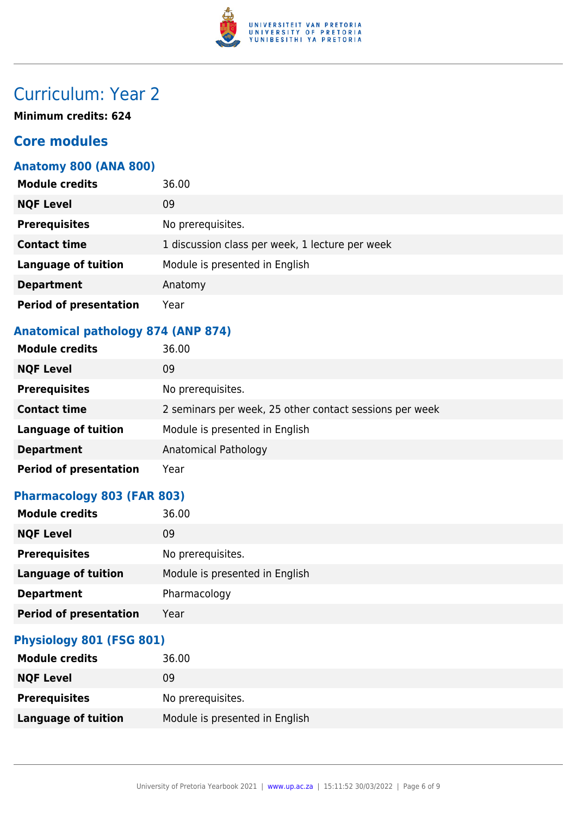

# Curriculum: Year 2

**Minimum credits: 624**

# **Core modules**

### **Anatomy 800 (ANA 800)**

| <b>Module credits</b>         | 36.00                                           |
|-------------------------------|-------------------------------------------------|
| <b>NQF Level</b>              | 09                                              |
| <b>Prerequisites</b>          | No prerequisites.                               |
| <b>Contact time</b>           | 1 discussion class per week, 1 lecture per week |
| <b>Language of tuition</b>    | Module is presented in English                  |
| <b>Department</b>             | Anatomy                                         |
| <b>Period of presentation</b> | Year                                            |

## **Anatomical pathology 874 (ANP 874)**

| <b>Module credits</b>         | 36.00                                                   |
|-------------------------------|---------------------------------------------------------|
| <b>NQF Level</b>              | 09                                                      |
| <b>Prerequisites</b>          | No prerequisites.                                       |
| <b>Contact time</b>           | 2 seminars per week, 25 other contact sessions per week |
| <b>Language of tuition</b>    | Module is presented in English                          |
| <b>Department</b>             | Anatomical Pathology                                    |
| <b>Period of presentation</b> | Year                                                    |

## **Pharmacology 803 (FAR 803)**

| <b>Module credits</b>         | 36.00                          |
|-------------------------------|--------------------------------|
| <b>NQF Level</b>              | 09                             |
| <b>Prerequisites</b>          | No prerequisites.              |
| <b>Language of tuition</b>    | Module is presented in English |
| <b>Department</b>             | Pharmacology                   |
| <b>Period of presentation</b> | Year                           |

#### **Physiology 801 (FSG 801)**

| <b>Module credits</b> | 36.00                          |
|-----------------------|--------------------------------|
| <b>NQF Level</b>      | 09                             |
| <b>Prerequisites</b>  | No prerequisites.              |
| Language of tuition   | Module is presented in English |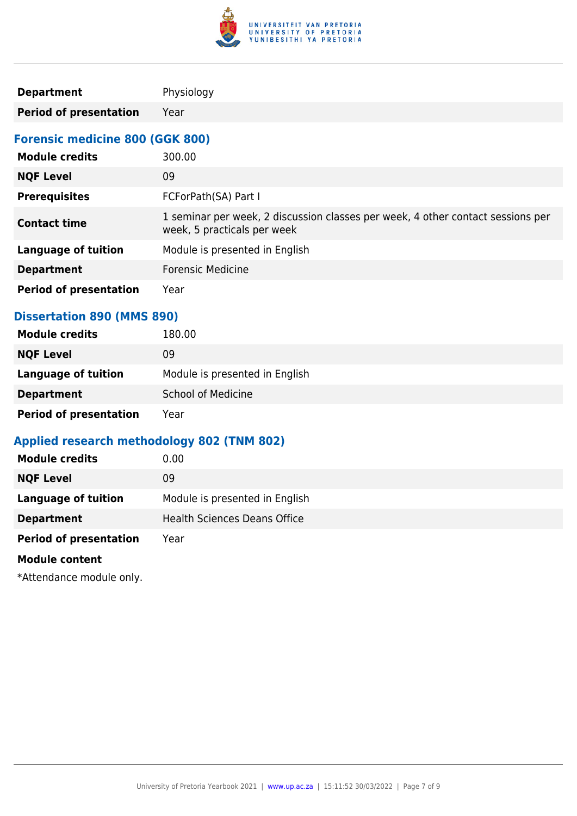

| <b>Department</b> | Physiology |
|-------------------|------------|
|                   |            |

**Period of presentation** Year

### **Forensic medicine 800 (GGK 800)**

| <b>Module credits</b>         | 300.00                                                                                                         |
|-------------------------------|----------------------------------------------------------------------------------------------------------------|
| <b>NQF Level</b>              | 09                                                                                                             |
| <b>Prerequisites</b>          | FCForPath(SA) Part I                                                                                           |
| <b>Contact time</b>           | 1 seminar per week, 2 discussion classes per week, 4 other contact sessions per<br>week, 5 practicals per week |
| <b>Language of tuition</b>    | Module is presented in English                                                                                 |
| <b>Department</b>             | <b>Forensic Medicine</b>                                                                                       |
| <b>Period of presentation</b> | Year                                                                                                           |

### **Dissertation 890 (MMS 890)**

| <b>Module credits</b>         | 180.00                         |
|-------------------------------|--------------------------------|
| <b>NQF Level</b>              | 09                             |
| <b>Language of tuition</b>    | Module is presented in English |
| <b>Department</b>             | <b>School of Medicine</b>      |
| <b>Period of presentation</b> | Year                           |

### **Applied research methodology 802 (TNM 802)**

| <b>Module credits</b>         | 0.00                                |
|-------------------------------|-------------------------------------|
| <b>NQF Level</b>              | 09                                  |
| <b>Language of tuition</b>    | Module is presented in English      |
| <b>Department</b>             | <b>Health Sciences Deans Office</b> |
| <b>Period of presentation</b> | Year                                |
| <b>Module content</b>         |                                     |

\*Attendance module only.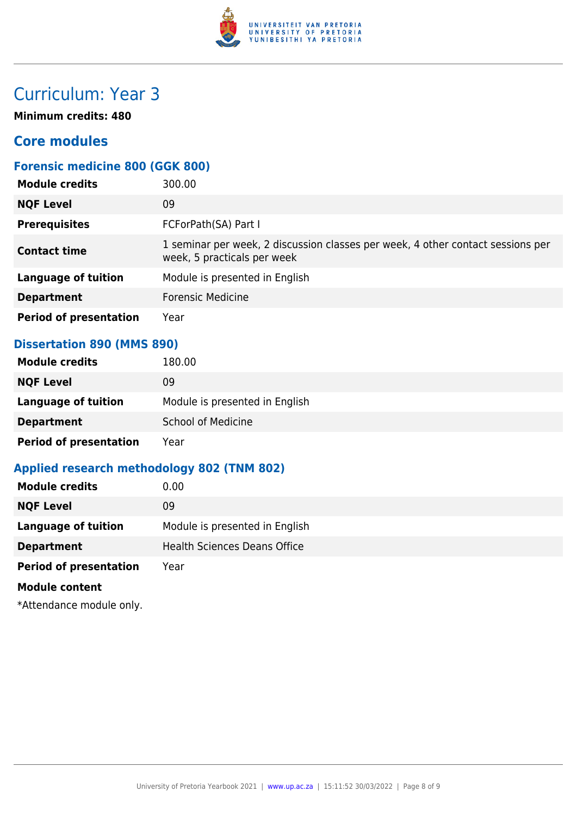

# Curriculum: Year 3

**Minimum credits: 480**

# **Core modules**

### **Forensic medicine 800 (GGK 800)**

| <b>Module credits</b>         | 300.00                                                                                                         |
|-------------------------------|----------------------------------------------------------------------------------------------------------------|
| <b>NQF Level</b>              | 09                                                                                                             |
| <b>Prerequisites</b>          | FCForPath(SA) Part I                                                                                           |
| <b>Contact time</b>           | 1 seminar per week, 2 discussion classes per week, 4 other contact sessions per<br>week, 5 practicals per week |
| <b>Language of tuition</b>    | Module is presented in English                                                                                 |
| <b>Department</b>             | <b>Forensic Medicine</b>                                                                                       |
| <b>Period of presentation</b> | Year                                                                                                           |

#### **Dissertation 890 (MMS 890)**

| <b>Module credits</b>         | 180.00                         |
|-------------------------------|--------------------------------|
| <b>NQF Level</b>              | 09                             |
| Language of tuition           | Module is presented in English |
| <b>Department</b>             | <b>School of Medicine</b>      |
| <b>Period of presentation</b> | Year                           |

## **Applied research methodology 802 (TNM 802)**

| <b>Module credits</b>         | 0.00                                |
|-------------------------------|-------------------------------------|
| <b>NQF Level</b>              | 09                                  |
| <b>Language of tuition</b>    | Module is presented in English      |
| <b>Department</b>             | <b>Health Sciences Deans Office</b> |
| <b>Period of presentation</b> | Year                                |
| <b>Module content</b>         |                                     |

\*Attendance module only.